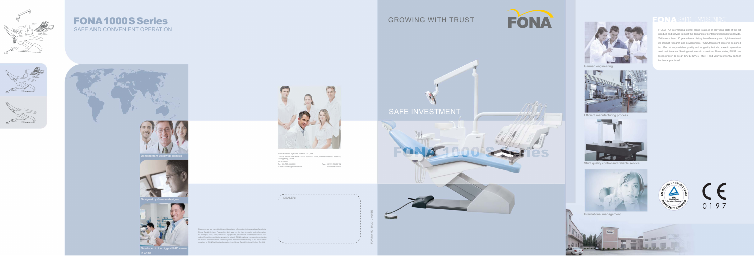Developed in the biggest R&D center in China



FOR-MA-M0135-20101025SE

## GROWING WITH TRUST



SAFE INVESTMENT



Demand from worldwide dentists



Designed by German designer



Sirona Dental Systems Foshan Co., Ltd. Lianhe Shishi Industrial Zone, Luocun Town, Nanhai District, Foshan, Guangdong, China P.C.528227 E-mail: contact@fona.com.cn www.fona.com.cn Tel:+86-757-86400111 Fax:+86-757-86406172



DEALER:















Statement: we are committed to provide detailed information for the samples of products, Sirona Dental Systems Foshan Co., Ltd. reserves the right to modify such information, for example, price, color, materials, equipments, parameters and shapes without prior notice (Except the modifications related to safety). (FONA) trademark is under the protection of Chinese and international commodity laws. It's not allowed to modify or use any or whole copyright of (FONA) without authorization from Sirona Dental Systems Foshan Co., Ltd.

FONA - An international dental brand is aimed at providing state of the art product and service to meet the demands of dental professionals worldwide. With more than 130 years dental history from Germany and high investment in product research and development, FONA treatment center is designed to offer not only reliable quality and longevity, but also ease in operation and maintenance. Serving customers in more than 70 countries, FONA has been proven to be an SAFE INVESTMENT and your trustworthy partner in dental practices!



# 0197



German engineering



Efficient manufacturing process



Strict quality control and reliable service



International management